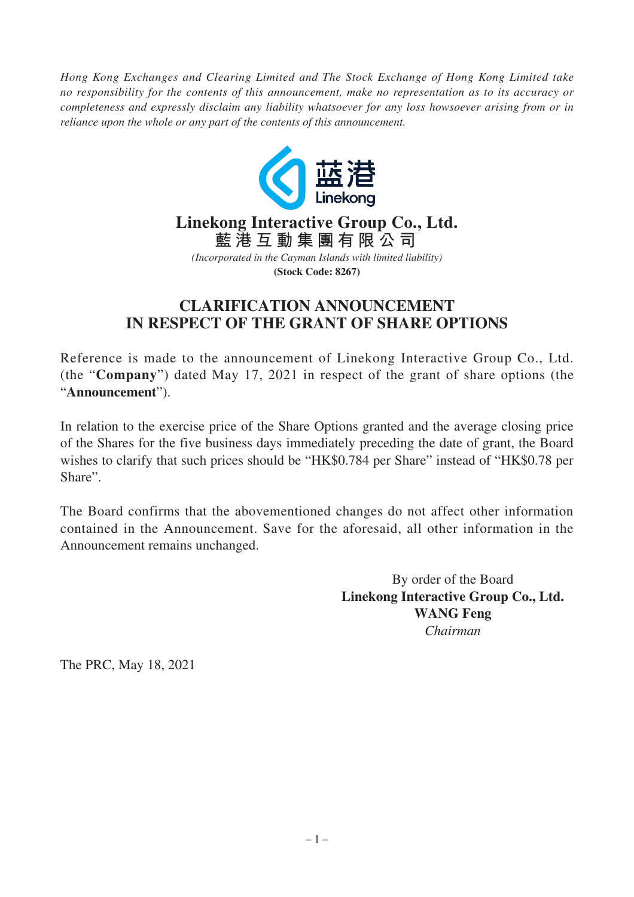*Hong Kong Exchanges and Clearing Limited and The Stock Exchange of Hong Kong Limited take no responsibility for the contents of this announcement, make no representation as to its accuracy or completeness and expressly disclaim any liability whatsoever for any loss howsoever arising from or in reliance upon the whole or any part of the contents of this announcement.*



## **Linekong Interactive Group Co., Ltd. 藍港互動集團有限公司**

*(Incorporated in the Cayman Islands with limited liability)* **(Stock Code: 8267)**

## **CLARIFICATION ANNOUNCEMENT IN RESPECT OF THE GRANT OF SHARE OPTIONS**

Reference is made to the announcement of Linekong Interactive Group Co., Ltd. (the "**Company**") dated May 17, 2021 in respect of the grant of share options (the "**Announcement**").

In relation to the exercise price of the Share Options granted and the average closing price of the Shares for the five business days immediately preceding the date of grant, the Board wishes to clarify that such prices should be "HK\$0.784 per Share" instead of "HK\$0.78 per Share".

The Board confirms that the abovementioned changes do not affect other information contained in the Announcement. Save for the aforesaid, all other information in the Announcement remains unchanged.

> By order of the Board **Linekong Interactive Group Co., Ltd. WANG Feng** *Chairman*

The PRC, May 18, 2021